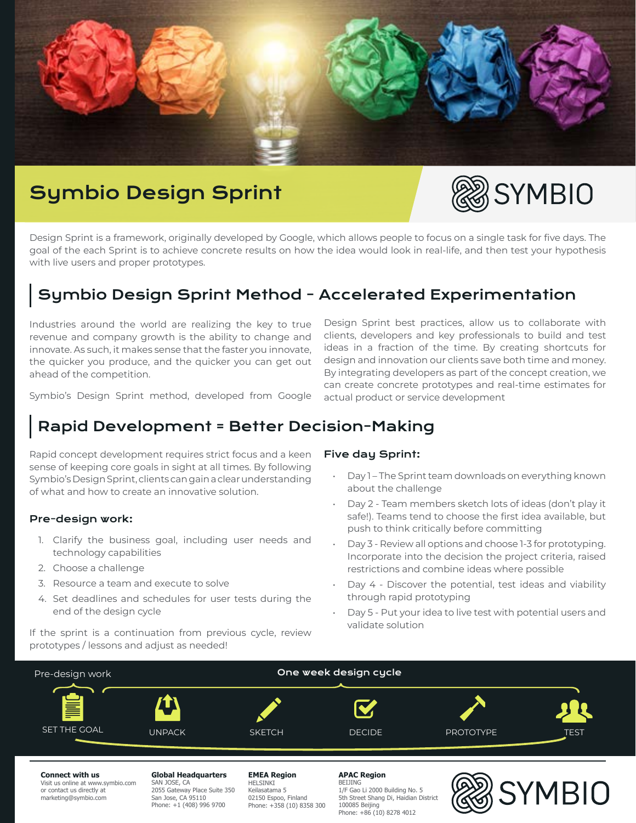

# Symbio Design Sprint



Design Sprint is a framework, originally developed by Google, which allows people to focus on a single task for five days. The goal of the each Sprint is to achieve concrete results on how the idea would look in real-life, and then test your hypothesis with live users and proper prototypes.

# Symbio Design Sprint Method - Accelerated Experimentation

Industries around the world are realizing the key to true revenue and company growth is the ability to change and innovate. As such, it makes sense that the faster you innovate, the quicker you produce, and the quicker you can get out ahead of the competition.

Symbio's Design Sprint method, developed from Google

# Rapid Development = Better Decision-Making

Rapid concept development requires strict focus and a keen sense of keeping core goals in sight at all times. By following Symbio's Design Sprint, clients can gain a clear understanding of what and how to create an innovative solution.

### Pre-design work:

- 1. Clarify the business goal, including user needs and technology capabilities
- 2. Choose a challenge
- 3. Resource a team and execute to solve
- 4. Set deadlines and schedules for user tests during the end of the design cycle

If the sprint is a continuation from previous cycle, review prototypes / lessons and adjust as needed!

Design Sprint best practices, allow us to collaborate with clients, developers and key professionals to build and test ideas in a fraction of the time. By creating shortcuts for design and innovation our clients save both time and money. By integrating developers as part of the concept creation, we can create concrete prototypes and real-time estimates for actual product or service development

### Five day Sprint:

- Day 1 The Sprint team downloads on everything known about the challenge
- Day 2 Team members sketch lots of ideas (don't play it safe!). Teams tend to choose the first idea available, but push to think critically before committing
- Day 3 Review all options and choose 1-3 for prototyping. Incorporate into the decision the project criteria, raised restrictions and combine ideas where possible
- Day 4 Discover the potential, test ideas and viability through rapid prototyping
- Day 5 Put your idea to live test with potential users and validate solution



#### **Connect with us**

Visit us online at www.symbio.com or contact us directly at marketing@symbio.com

#### **Global Headquarters**

SAN JOSE, CA 2055 Gateway Place Suite 350 San Jose, CA 95110 Phone: +1 (408) 996 9700

#### **EMEA Region** HELSINKI Keilasatama 5 02150 Espoo, Finland Phone: +358 (10) 8358 300

**APAC Region**

**BEIJING** 1/F Gao Li 2000 Building No. 5 5th Street Shang Di, Haidian District 100085 Beijing Phone: +86 (10) 8278 4012